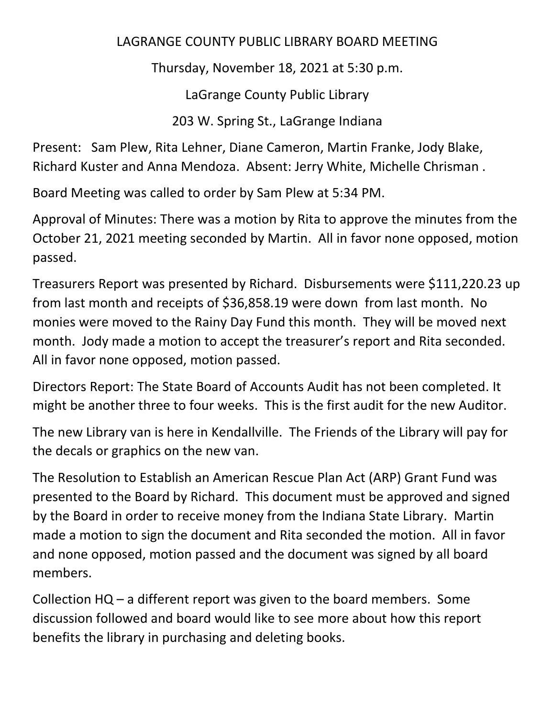## LAGRANGE COUNTY PUBLIC LIBRARY BOARD MEETING

Thursday, November 18, 2021 at 5:30 p.m.

LaGrange County Public Library

203 W. Spring St., LaGrange Indiana

Present: Sam Plew, Rita Lehner, Diane Cameron, Martin Franke, Jody Blake, Richard Kuster and Anna Mendoza. Absent: Jerry White, Michelle Chrisman .

Board Meeting was called to order by Sam Plew at 5:34 PM.

Approval of Minutes: There was a motion by Rita to approve the minutes from the October 21, 2021 meeting seconded by Martin. All in favor none opposed, motion passed.

Treasurers Report was presented by Richard. Disbursements were \$111,220.23 up from last month and receipts of \$36,858.19 were down from last month. No monies were moved to the Rainy Day Fund this month. They will be moved next month. Jody made a motion to accept the treasurer's report and Rita seconded. All in favor none opposed, motion passed.

Directors Report: The State Board of Accounts Audit has not been completed. It might be another three to four weeks. This is the first audit for the new Auditor.

The new Library van is here in Kendallville. The Friends of the Library will pay for the decals or graphics on the new van.

The Resolution to Establish an American Rescue Plan Act (ARP) Grant Fund was presented to the Board by Richard. This document must be approved and signed by the Board in order to receive money from the Indiana State Library. Martin made a motion to sign the document and Rita seconded the motion. All in favor and none opposed, motion passed and the document was signed by all board members.

Collection HQ – a different report was given to the board members. Some discussion followed and board would like to see more about how this report benefits the library in purchasing and deleting books.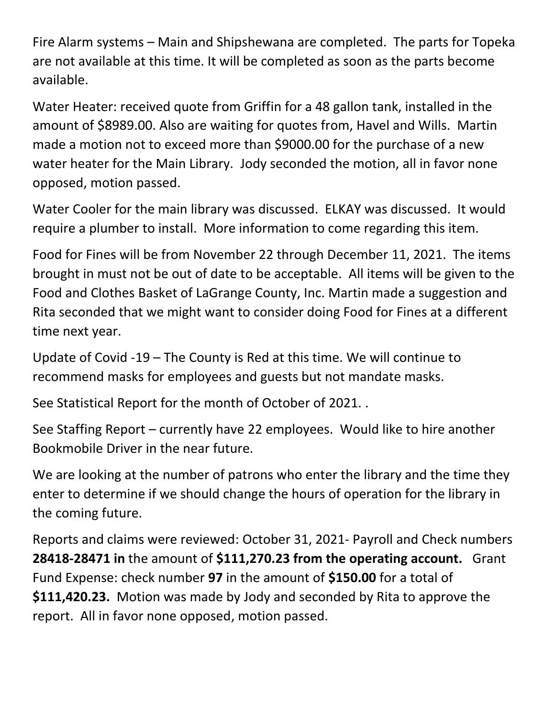Fire Alarm systems – Main and Shipshewana are completed. The parts for Topeka are not available at this time. It will be completed as soon as the parts become available.

Water Heater: received quote from Griffin for a 48 gallon tank, installed in the amount of \$8989.00. Also are waiting for quotes from, Havel and Wills. Martin made a motion not to exceed more than \$9000.00 for the purchase of a new water heater for the Main Library. Jody seconded the motion, all in favor none opposed, motion passed.

Water Cooler for the main library was discussed. ELKAY was discussed. It would require a plumber to install. More information to come regarding this item.

Food for Fines will be from November 22 through December 11, 2021. The items brought in must not be out of date to be acceptable. All items will be given to the Food and Clothes Basket of LaGrange County, Inc. Martin made a suggestion and Rita seconded that we might want to consider doing Food for Fines at a different time next year.

Update of Covid -19 – The County is Red at this time. We will continue to recommend masks for employees and guests but not mandate masks.

See Statistical Report for the month of October of 2021. .

See Staffing Report – currently have 22 employees. Would like to hire another Bookmobile Driver in the near future.

We are looking at the number of patrons who enter the library and the time they enter to determine if we should change the hours of operation for the library in the coming future.

Reports and claims were reviewed: October 31, 2021- Payroll and Check numbers **28418-28471 in** the amount of **\$111,270.23 from the operating account.** Grant Fund Expense: check number **97** in the amount of **\$150.00** for a total of **\$111,420.23.** Motion was made by Jody and seconded by Rita to approve the report. All in favor none opposed, motion passed.